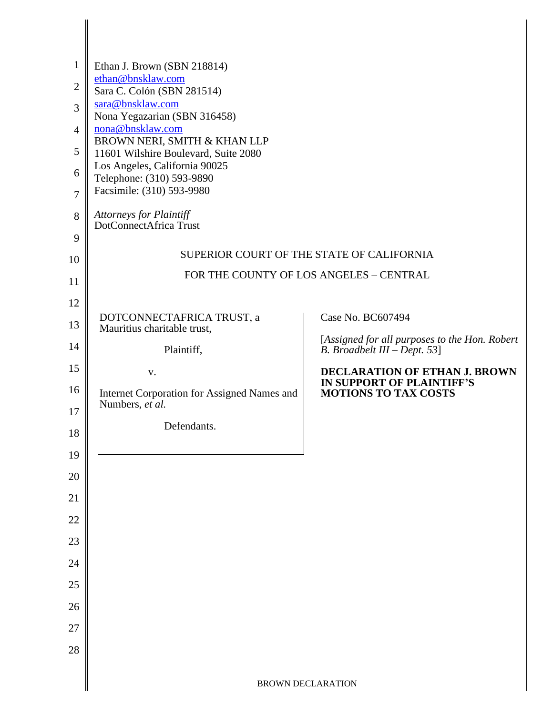| $\mathbf{1}$<br>$\overline{2}$<br>3<br>$\overline{4}$<br>5<br>6<br>$\overline{7}$<br>8<br>9 | Ethan J. Brown (SBN 218814)<br>ethan@bnsklaw.com<br>Sara C. Colón (SBN 281514)<br>sara@bnsklaw.com<br>Nona Yegazarian (SBN 316458)<br>nona@bnsklaw.com<br>BROWN NERI, SMITH & KHAN LLP<br>11601 Wilshire Boulevard, Suite 2080<br>Los Angeles, California 90025<br>Telephone: (310) 593-9890<br>Facsimile: (310) 593-9980<br>Attorneys for Plaintiff<br>DotConnectAfrica Trust | SUPERIOR COURT OF THE STATE OF CALIFORNIA                                     |  |
|---------------------------------------------------------------------------------------------|--------------------------------------------------------------------------------------------------------------------------------------------------------------------------------------------------------------------------------------------------------------------------------------------------------------------------------------------------------------------------------|-------------------------------------------------------------------------------|--|
| 10                                                                                          | FOR THE COUNTY OF LOS ANGELES - CENTRAL                                                                                                                                                                                                                                                                                                                                        |                                                                               |  |
| 11                                                                                          |                                                                                                                                                                                                                                                                                                                                                                                |                                                                               |  |
| 12<br>13                                                                                    | DOTCONNECTAFRICA TRUST, a                                                                                                                                                                                                                                                                                                                                                      | Case No. BC607494                                                             |  |
| 14                                                                                          | Mauritius charitable trust,<br>Plaintiff,                                                                                                                                                                                                                                                                                                                                      | [Assigned for all purposes to the Hon. Robert<br>B. Broadbelt III – Dept. 53] |  |
| 15                                                                                          | V.                                                                                                                                                                                                                                                                                                                                                                             | DECLARATION OF ETHAN J. BROWN                                                 |  |
| 16                                                                                          | Internet Corporation for Assigned Names and                                                                                                                                                                                                                                                                                                                                    | IN SUPPORT OF PLAINTIFF'S<br><b>MOTIONS TO TAX COSTS</b>                      |  |
| 17                                                                                          | Numbers, et al.                                                                                                                                                                                                                                                                                                                                                                |                                                                               |  |
| 18                                                                                          | Defendants.                                                                                                                                                                                                                                                                                                                                                                    |                                                                               |  |
| 19                                                                                          |                                                                                                                                                                                                                                                                                                                                                                                |                                                                               |  |
| 20                                                                                          |                                                                                                                                                                                                                                                                                                                                                                                |                                                                               |  |
| 21                                                                                          |                                                                                                                                                                                                                                                                                                                                                                                |                                                                               |  |
| 22<br>23                                                                                    |                                                                                                                                                                                                                                                                                                                                                                                |                                                                               |  |
| 24                                                                                          |                                                                                                                                                                                                                                                                                                                                                                                |                                                                               |  |
| 25                                                                                          |                                                                                                                                                                                                                                                                                                                                                                                |                                                                               |  |
| 26                                                                                          |                                                                                                                                                                                                                                                                                                                                                                                |                                                                               |  |
| 27                                                                                          |                                                                                                                                                                                                                                                                                                                                                                                |                                                                               |  |
| 28                                                                                          |                                                                                                                                                                                                                                                                                                                                                                                |                                                                               |  |
|                                                                                             |                                                                                                                                                                                                                                                                                                                                                                                | <b>BROWN DECLARATION</b>                                                      |  |
|                                                                                             |                                                                                                                                                                                                                                                                                                                                                                                |                                                                               |  |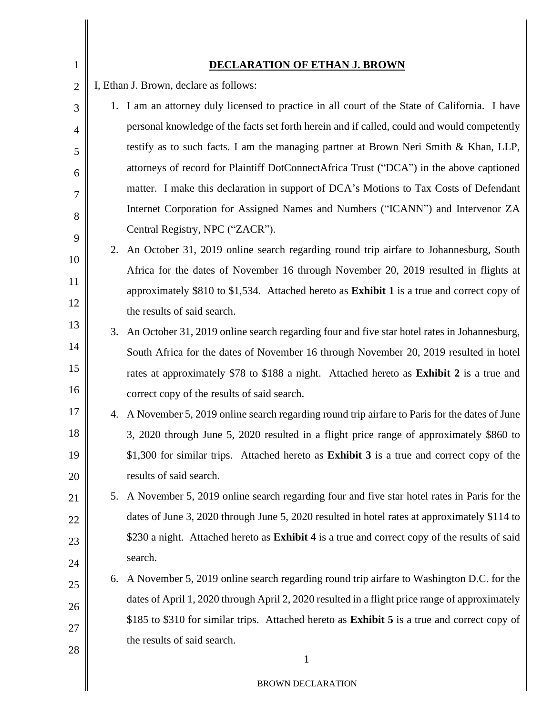| $\mathbf{1}$   |                                        | <b>DECLARATION OF ETHAN J. BROWN</b>                                                                 |
|----------------|----------------------------------------|------------------------------------------------------------------------------------------------------|
| $\overline{2}$ | I, Ethan J. Brown, declare as follows: |                                                                                                      |
| 3              |                                        | 1. I am an attorney duly licensed to practice in all court of the State of California. I have        |
| $\overline{4}$ |                                        | personal knowledge of the facts set forth herein and if called, could and would competently          |
| 5              |                                        | testify as to such facts. I am the managing partner at Brown Neri Smith & Khan, LLP,                 |
| 6              |                                        | attorneys of record for Plaintiff DotConnectAfrica Trust ("DCA") in the above captioned              |
| 7              |                                        | matter. I make this declaration in support of DCA's Motions to Tax Costs of Defendant                |
| 8              |                                        | Internet Corporation for Assigned Names and Numbers ("ICANN") and Intervenor ZA                      |
| 9              |                                        | Central Registry, NPC ("ZACR").                                                                      |
| 10             |                                        | 2. An October 31, 2019 online search regarding round trip airfare to Johannesburg, South             |
| 11             |                                        | Africa for the dates of November 16 through November 20, 2019 resulted in flights at                 |
|                |                                        | approximately \$810 to \$1,534. Attached hereto as Exhibit 1 is a true and correct copy of           |
| 12             |                                        | the results of said search.                                                                          |
| 13             |                                        | 3. An October 31, 2019 online search regarding four and five star hotel rates in Johannesburg,       |
| 14             |                                        | South Africa for the dates of November 16 through November 20, 2019 resulted in hotel                |
| 15             |                                        | rates at approximately \$78 to \$188 a night. Attached hereto as Exhibit 2 is a true and             |
| 16             |                                        | correct copy of the results of said search.                                                          |
| 17             | 4.                                     | A November 5, 2019 online search regarding round trip airfare to Paris for the dates of June         |
| 18             |                                        | 3, 2020 through June 5, 2020 resulted in a flight price range of approximately \$860 to              |
| 19             |                                        | \$1,300 for similar trips. Attached hereto as <b>Exhibit 3</b> is a true and correct copy of the     |
| 20             |                                        | results of said search.                                                                              |
| 21             | 5.                                     | A November 5, 2019 online search regarding four and five star hotel rates in Paris for the           |
| 22             |                                        | dates of June 3, 2020 through June 5, 2020 resulted in hotel rates at approximately \$114 to         |
| 23             |                                        | \$230 a night. Attached hereto as <b>Exhibit 4</b> is a true and correct copy of the results of said |
| 24             |                                        | search.                                                                                              |
| 25             |                                        | 6. A November 5, 2019 online search regarding round trip airfare to Washington D.C. for the          |
| 26             |                                        | dates of April 1, 2020 through April 2, 2020 resulted in a flight price range of approximately       |
| 27             |                                        | \$185 to \$310 for similar trips. Attached hereto as <b>Exhibit 5</b> is a true and correct copy of  |
| 28             |                                        | the results of said search.                                                                          |
|                |                                        | 1                                                                                                    |
|                |                                        | <b>BROWN DECLARATION</b>                                                                             |